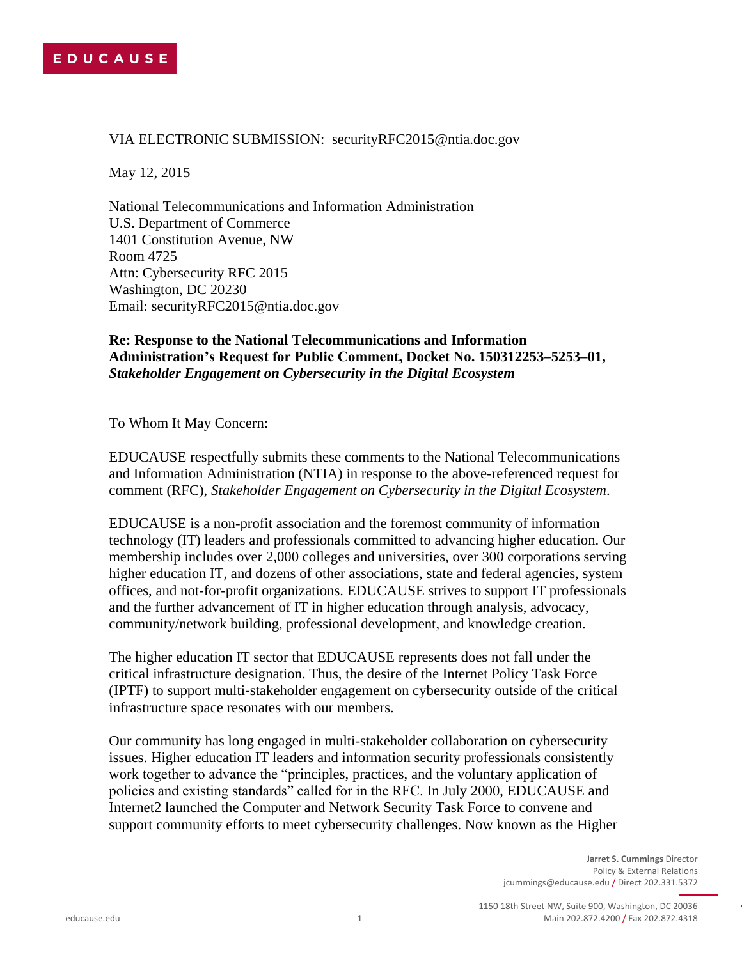## VIA ELECTRONIC SUBMISSION: securityRFC2015@ntia.doc.gov

May 12, 2015

National Telecommunications and Information Administration U.S. Department of Commerce 1401 Constitution Avenue, NW Room 4725 Attn: Cybersecurity RFC 2015 Washington, DC 20230 Email: securityRFC2015@ntia.doc.gov

## **Re: Response to the National Telecommunications and Information Administration's Request for Public Comment, Docket No. 150312253–5253–01,**  *Stakeholder Engagement on Cybersecurity in the Digital Ecosystem*

To Whom It May Concern:

EDUCAUSE respectfully submits these comments to the National Telecommunications and Information Administration (NTIA) in response to the above-referenced request for comment (RFC), *Stakeholder Engagement on Cybersecurity in the Digital Ecosystem*.

EDUCAUSE is a non-profit association and the foremost community of information technology (IT) leaders and professionals committed to advancing higher education. Our membership includes over 2,000 colleges and universities, over 300 corporations serving higher education IT, and dozens of other associations, state and federal agencies, system offices, and not-for-profit organizations. EDUCAUSE strives to support IT professionals and the further advancement of IT in higher education through analysis, advocacy, community/network building, professional development, and knowledge creation.

The higher education IT sector that EDUCAUSE represents does not fall under the critical infrastructure designation. Thus, the desire of the Internet Policy Task Force (IPTF) to support multi-stakeholder engagement on cybersecurity outside of the critical infrastructure space resonates with our members.

Our community has long engaged in multi-stakeholder collaboration on cybersecurity issues. Higher education IT leaders and information security professionals consistently work together to advance the "principles, practices, and the voluntary application of policies and existing standards" called for in the RFC. In July 2000, EDUCAUSE and Internet2 launched the Computer and Network Security Task Force to convene and support community efforts to meet cybersecurity challenges. Now known as the Higher